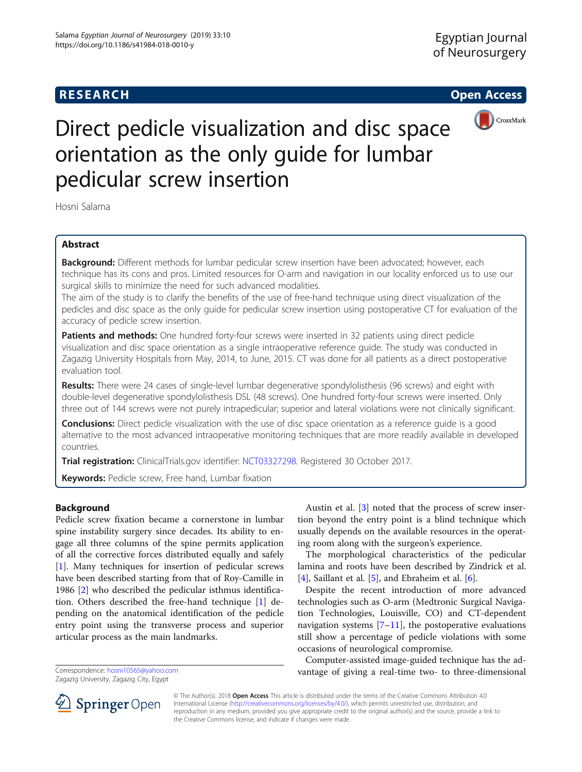## **RESEARCH CHILD CONTROL** CONTROL CONTROL CONTROL CONTROL CONTROL CONTROL CONTROL CONTROL CONTROL CONTROL CONTROL CONTROL CONTROL CONTROL CONTROL CONTROL CONTROL CONTROL CONTROL CONTROL CONTROL CONTROL CONTROL CONTROL CONTR



# Direct pedicle visualization and disc space orientation as the only guide for lumbar pedicular screw insertion

Hosni Salama

## Abstract

Background: Different methods for lumbar pedicular screw insertion have been advocated; however, each technique has its cons and pros. Limited resources for O-arm and navigation in our locality enforced us to use our surgical skills to minimize the need for such advanced modalities.

The aim of the study is to clarify the benefits of the use of free-hand technique using direct visualization of the pedicles and disc space as the only guide for pedicular screw insertion using postoperative CT for evaluation of the accuracy of pedicle screw insertion.

Patients and methods: One hundred forty-four screws were inserted in 32 patients using direct pedicle visualization and disc space orientation as a single intraoperative reference guide. The study was conducted in Zagazig University Hospitals from May, 2014, to June, 2015. CT was done for all patients as a direct postoperative evaluation tool.

Results: There were 24 cases of single-level lumbar degenerative spondylolisthesis (96 screws) and eight with double-level degenerative spondylolisthesis DSL (48 screws). One hundred forty-four screws were inserted. Only three out of 144 screws were not purely intrapedicular; superior and lateral violations were not clinically significant.

**Conclusions:** Direct pedicle visualization with the use of disc space orientation as a reference quide is a good alternative to the most advanced intraoperative monitoring techniques that are more readily available in developed countries.

Trial registration: ClinicalTrials.gov identifier: [NCT03327298](https://clinicaltrials.gov/ct2/results?cond=&term=NCT03327298&cntry=&state=&city=&dist=). Registered 30 October 2017.

Keywords: Pedicle screw, Free hand, Lumbar fixation

## Background

Pedicle screw fixation became a cornerstone in lumbar spine instability surgery since decades. Its ability to engage all three columns of the spine permits application of all the corrective forces distributed equally and safely [[1\]](#page-3-0). Many techniques for insertion of pedicular screws have been described starting from that of Roy-Camille in 1986 [[2\]](#page-3-0) who described the pedicular isthmus identification. Others described the free-hand technique [[1\]](#page-3-0) depending on the anatomical identification of the pedicle entry point using the transverse process and superior articular process as the main landmarks.

Zagazig University, Zagazig City, Egypt

Austin et al. [[3\]](#page-3-0) noted that the process of screw insertion beyond the entry point is a blind technique which usually depends on the available resources in the operating room along with the surgeon's experience.

The morphological characteristics of the pedicular lamina and roots have been described by Zindrick et al. [[4\]](#page-3-0), Saillant et al. [[5\]](#page-3-0), and Ebraheim et al. [[6\]](#page-3-0).

Despite the recent introduction of more advanced technologies such as O-arm (Medtronic Surgical Navigation Technologies, Louisville, CO) and CT-dependent navigation systems  $[7–11]$  $[7–11]$  $[7–11]$  $[7–11]$  $[7–11]$ , the postoperative evaluations still show a percentage of pedicle violations with some occasions of neurological compromise.

Computer-assisted image-guided technique has the advantage of giving a real-time two- to three-dimensional Correspondence: [hosni10565@yahoo.com](mailto:hosni10565@yahoo.com)



© The Author(s). 2018 Open Access This article is distributed under the terms of the Creative Commons Attribution 4.0 International License ([http://creativecommons.org/licenses/by/4.0/\)](http://creativecommons.org/licenses/by/4.0/), which permits unrestricted use, distribution, and reproduction in any medium, provided you give appropriate credit to the original author(s) and the source, provide a link to the Creative Commons license, and indicate if changes were made.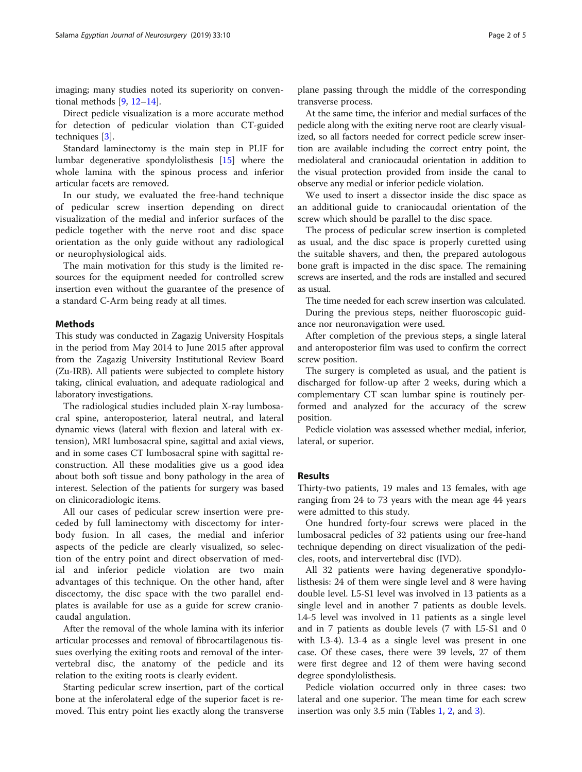imaging; many studies noted its superiority on conventional methods [\[9](#page-3-0), [12](#page-3-0)–[14\]](#page-3-0).

Direct pedicle visualization is a more accurate method for detection of pedicular violation than CT-guided techniques [[3\]](#page-3-0).

Standard laminectomy is the main step in PLIF for lumbar degenerative spondylolisthesis [[15](#page-3-0)] where the whole lamina with the spinous process and inferior articular facets are removed.

In our study, we evaluated the free-hand technique of pedicular screw insertion depending on direct visualization of the medial and inferior surfaces of the pedicle together with the nerve root and disc space orientation as the only guide without any radiological or neurophysiological aids.

The main motivation for this study is the limited resources for the equipment needed for controlled screw insertion even without the guarantee of the presence of a standard C-Arm being ready at all times.

## Methods

This study was conducted in Zagazig University Hospitals in the period from May 2014 to June 2015 after approval from the Zagazig University Institutional Review Board (Zu-IRB). All patients were subjected to complete history taking, clinical evaluation, and adequate radiological and laboratory investigations.

The radiological studies included plain X-ray lumbosacral spine, anteroposterior, lateral neutral, and lateral dynamic views (lateral with flexion and lateral with extension), MRI lumbosacral spine, sagittal and axial views, and in some cases CT lumbosacral spine with sagittal reconstruction. All these modalities give us a good idea about both soft tissue and bony pathology in the area of interest. Selection of the patients for surgery was based on clinicoradiologic items.

All our cases of pedicular screw insertion were preceded by full laminectomy with discectomy for interbody fusion. In all cases, the medial and inferior aspects of the pedicle are clearly visualized, so selection of the entry point and direct observation of medial and inferior pedicle violation are two main advantages of this technique. On the other hand, after discectomy, the disc space with the two parallel endplates is available for use as a guide for screw craniocaudal angulation.

After the removal of the whole lamina with its inferior articular processes and removal of fibrocartilagenous tissues overlying the exiting roots and removal of the intervertebral disc, the anatomy of the pedicle and its relation to the exiting roots is clearly evident.

Starting pedicular screw insertion, part of the cortical bone at the inferolateral edge of the superior facet is removed. This entry point lies exactly along the transverse

plane passing through the middle of the corresponding transverse process.

At the same time, the inferior and medial surfaces of the pedicle along with the exiting nerve root are clearly visualized, so all factors needed for correct pedicle screw insertion are available including the correct entry point, the mediolateral and craniocaudal orientation in addition to the visual protection provided from inside the canal to observe any medial or inferior pedicle violation.

We used to insert a dissector inside the disc space as an additional guide to craniocaudal orientation of the screw which should be parallel to the disc space.

The process of pedicular screw insertion is completed as usual, and the disc space is properly curetted using the suitable shavers, and then, the prepared autologous bone graft is impacted in the disc space. The remaining screws are inserted, and the rods are installed and secured as usual.

The time needed for each screw insertion was calculated. During the previous steps, neither fluoroscopic guidance nor neuronavigation were used.

After completion of the previous steps, a single lateral and anteroposterior film was used to confirm the correct screw position.

The surgery is completed as usual, and the patient is discharged for follow-up after 2 weeks, during which a complementary CT scan lumbar spine is routinely performed and analyzed for the accuracy of the screw position.

Pedicle violation was assessed whether medial, inferior, lateral, or superior.

## Results

Thirty-two patients, 19 males and 13 females, with age ranging from 24 to 73 years with the mean age 44 years were admitted to this study.

One hundred forty-four screws were placed in the lumbosacral pedicles of 32 patients using our free-hand technique depending on direct visualization of the pedicles, roots, and intervertebral disc (IVD).

All 32 patients were having degenerative spondylolisthesis: 24 of them were single level and 8 were having double level. L5-S1 level was involved in 13 patients as a single level and in another 7 patients as double levels. L4-5 level was involved in 11 patients as a single level and in 7 patients as double levels (7 with L5-S1 and 0 with L3-4). L3-4 as a single level was present in one case. Of these cases, there were 39 levels, 27 of them were first degree and 12 of them were having second degree spondylolisthesis.

Pedicle violation occurred only in three cases: two lateral and one superior. The mean time for each screw insertion was only 3.5 min (Tables [1](#page-2-0), [2](#page-2-0), and [3](#page-2-0)).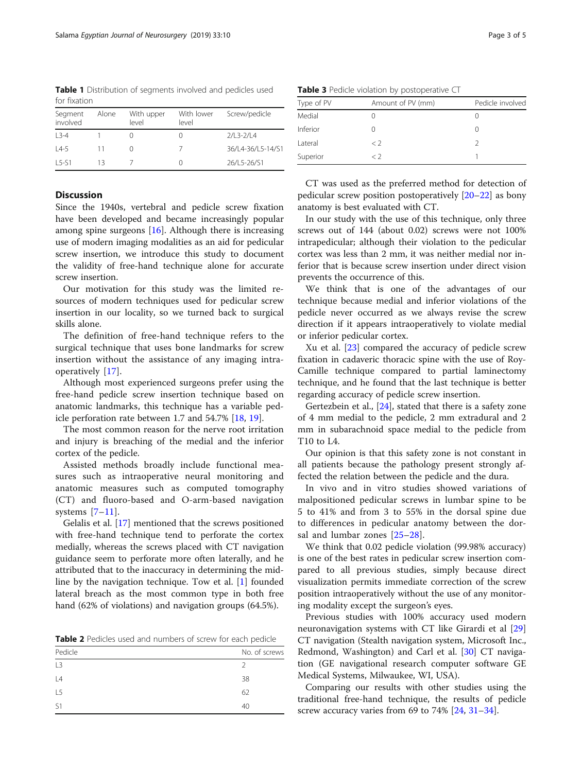<span id="page-2-0"></span>Table 1 Distribution of segments involved and pedicles used for fixation

| Segment<br>involved | Alone | With upper<br>level | With lower<br>level | Screw/pedicle     |
|---------------------|-------|---------------------|---------------------|-------------------|
| $13 - 4$            |       |                     |                     | $2/L3 - 2/L4$     |
| $14-5$              | 11    |                     |                     | 36/L4-36/L5-14/S1 |
| $15-51$             | 13    |                     |                     | 26/L5-26/S1       |

## **Discussion**

Since the 1940s, vertebral and pedicle screw fixation have been developed and became increasingly popular among spine surgeons [\[16\]](#page-3-0). Although there is increasing use of modern imaging modalities as an aid for pedicular screw insertion, we introduce this study to document the validity of free-hand technique alone for accurate screw insertion.

Our motivation for this study was the limited resources of modern techniques used for pedicular screw insertion in our locality, so we turned back to surgical skills alone.

The definition of free-hand technique refers to the surgical technique that uses bone landmarks for screw insertion without the assistance of any imaging intraoperatively [\[17](#page-3-0)].

Although most experienced surgeons prefer using the free-hand pedicle screw insertion technique based on anatomic landmarks, this technique has a variable pedicle perforation rate between 1.7 and 54.7% [\[18,](#page-3-0) [19\]](#page-3-0).

The most common reason for the nerve root irritation and injury is breaching of the medial and the inferior cortex of the pedicle.

Assisted methods broadly include functional measures such as intraoperative neural monitoring and anatomic measures such as computed tomography (CT) and fluoro-based and O-arm-based navigation systems [[7](#page-3-0)–[11](#page-3-0)].

Gelalis et al. [[17\]](#page-3-0) mentioned that the screws positioned with free-hand technique tend to perforate the cortex medially, whereas the screws placed with CT navigation guidance seem to perforate more often laterally, and he attributed that to the inaccuracy in determining the midline by the navigation technique. Tow et al. [\[1](#page-3-0)] founded lateral breach as the most common type in both free hand (62% of violations) and navigation groups (64.5%).

Table 2 Pedicles used and numbers of screw for each pedicle

| Pedicle        | No. of screws |
|----------------|---------------|
| L3             | 2             |
| L4             | 38            |
| L <sub>5</sub> | 62            |
| S1             | 40            |

|  |  | Table 3 Pedicle violation by postoperative CT |  |  |  |  |
|--|--|-----------------------------------------------|--|--|--|--|
|--|--|-----------------------------------------------|--|--|--|--|

| Type of PV | Amount of PV (mm) | Pedicle involved |
|------------|-------------------|------------------|
| Medial     |                   |                  |
| Inferior   |                   |                  |
| Lateral    | $\langle$ 2       |                  |
| Superior   | < ?               |                  |
|            |                   |                  |

CT was used as the preferred method for detection of pedicular screw position postoperatively [\[20](#page-3-0)–[22](#page-4-0)] as bony anatomy is best evaluated with CT.

In our study with the use of this technique, only three screws out of 144 (about 0.02) screws were not 100% intrapedicular; although their violation to the pedicular cortex was less than 2 mm, it was neither medial nor inferior that is because screw insertion under direct vision prevents the occurrence of this.

We think that is one of the advantages of our technique because medial and inferior violations of the pedicle never occurred as we always revise the screw direction if it appears intraoperatively to violate medial or inferior pedicular cortex.

Xu et al. [\[23](#page-4-0)] compared the accuracy of pedicle screw fixation in cadaveric thoracic spine with the use of Roy-Camille technique compared to partial laminectomy technique, and he found that the last technique is better regarding accuracy of pedicle screw insertion.

Gertezbein et al., [\[24](#page-4-0)], stated that there is a safety zone of 4 mm medial to the pedicle, 2 mm extradural and 2 mm in subarachnoid space medial to the pedicle from T10 to L4.

Our opinion is that this safety zone is not constant in all patients because the pathology present strongly affected the relation between the pedicle and the dura.

In vivo and in vitro studies showed variations of malpositioned pedicular screws in lumbar spine to be 5 to 41% and from 3 to 55% in the dorsal spine due to differences in pedicular anatomy between the dorsal and lumbar zones [\[25](#page-4-0)–[28](#page-4-0)].

We think that 0.02 pedicle violation (99.98% accuracy) is one of the best rates in pedicular screw insertion compared to all previous studies, simply because direct visualization permits immediate correction of the screw position intraoperatively without the use of any monitoring modality except the surgeon's eyes.

Previous studies with 100% accuracy used modern neuronavigation systems with CT like Girardi et al [[29](#page-4-0)] CT navigation (Stealth navigation system, Microsoft Inc., Redmond, Washington) and Carl et al. [[30\]](#page-4-0) CT navigation (GE navigational research computer software GE Medical Systems, Milwaukee, WI, USA).

Comparing our results with other studies using the traditional free-hand technique, the results of pedicle screw accuracy varies from 69 to 74% [[24,](#page-4-0) [31](#page-4-0)–[34](#page-4-0)].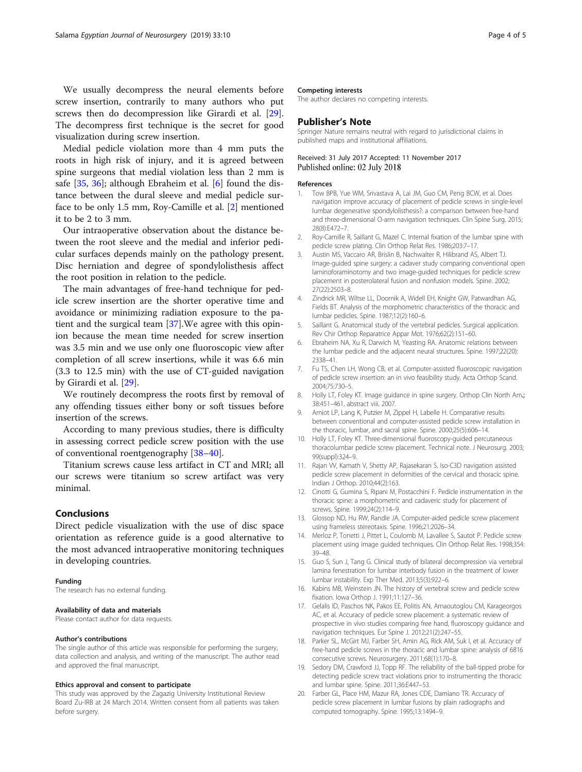<span id="page-3-0"></span>We usually decompress the neural elements before screw insertion, contrarily to many authors who put screws then do decompression like Girardi et al. [\[29](#page-4-0)]. The decompress first technique is the secret for good visualization during screw insertion.

Medial pedicle violation more than 4 mm puts the roots in high risk of injury, and it is agreed between spine surgeons that medial violation less than 2 mm is safe [[35](#page-4-0), [36\]](#page-4-0); although Ebraheim et al. [6] found the distance between the dural sleeve and medial pedicle surface to be only 1.5 mm, Roy-Camille et al. [2] mentioned it to be 2 to 3 mm.

Our intraoperative observation about the distance between the root sleeve and the medial and inferior pedicular surfaces depends mainly on the pathology present. Disc herniation and degree of spondylolisthesis affect the root position in relation to the pedicle.

The main advantages of free-hand technique for pedicle screw insertion are the shorter operative time and avoidance or minimizing radiation exposure to the patient and the surgical team [[37\]](#page-4-0).We agree with this opinion because the mean time needed for screw insertion was 3.5 min and we use only one fluoroscopic view after completion of all screw insertions, while it was 6.6 min (3.3 to 12.5 min) with the use of CT-guided navigation by Girardi et al. [\[29\]](#page-4-0).

We routinely decompress the roots first by removal of any offending tissues either bony or soft tissues before insertion of the screws.

According to many previous studies, there is difficulty in assessing correct pedicle screw position with the use of conventional roentgenography [\[38](#page-4-0)–[40\]](#page-4-0).

Titanium screws cause less artifact in CT and MRI; all our screws were titanium so screw artifact was very minimal.

## Conclusions

Direct pedicle visualization with the use of disc space orientation as reference guide is a good alternative to the most advanced intraoperative monitoring techniques in developing countries.

### Funding

The research has no external funding.

## Availability of data and materials

Please contact author for data requests.

#### Author's contributions

The single author of this article was responsible for performing the surgery, data collection and analysis, and writing of the manuscript. The author read and approved the final manuscript.

#### Ethics approval and consent to participate

This study was approved by the Zagazig University Institutional Review Board Zu-IRB at 24 March 2014. Written consent from all patients was taken before surgery.

## Competing interests

The author declares no competing interests.

## Publisher's Note

Springer Nature remains neutral with regard to jurisdictional claims in published maps and institutional affiliations.

## Received: 31 July 2017 Accepted: 11 November 2017 Published online: 02 July 2018

#### References

- 1. Tow BPB, Yue WM, Srivastava A, Lai JM, Guo CM, Peng BCW, et al. Does navigation improve accuracy of placement of pedicle screws in single-level lumbar degenerative spondylolisthesis?: a comparison between free-hand and three-dimensional O-arm navigation techniques. Clin Spine Surg. 2015; 28(8):E472–7.
- 2. Roy-Camille R, Saillant G, Mazel C. Internal fixation of the lumbar spine with pedicle screw plating. Clin Orthop Relat Res. 1986;203:7–17.
- 3. Austin MS, Vaccaro AR, Brislin B, Nachwalter R, Hilibrand AS, Albert TJ. Image-guided spine surgery: a cadaver study comparing conventional open laminoforaminotomy and two image-guided techniques for pedicle screw placement in posterolateral fusion and nonfusion models. Spine. 2002; 27(22):2503–8.
- 4. Zindrick MR, Wiltse LL, Doornik A, Widell EH, Knight GW, Patwardhan AG, Fields BT. Analysis of the morphometric characteristics of the thoracic and lumbar pedicles. Spine. 1987;12(2):160–6.
- 5. Saillant G. Anatomical study of the vertebral pedicles. Surgical application. Rev Chir Orthop Reparatrice Appar Mot. 1976;62(2):151–60.
- 6. Ebraheim NA, Xu R, Darwich M, Yeasting RA. Anatomic relations between the lumbar pedicle and the adjacent neural structures. Spine. 1997;22(20): 2338–41.
- 7. Fu TS, Chen LH, Wong CB, et al. Computer-assisted fluoroscopic navigation of pedicle screw insertion: an in vivo feasibility study. Acta Orthop Scand. 2004;75:730–5.
- 8. Holly LT, Foley KT. Image guidance in spine surgery. Orthop Clin North Am.; 38:451–461, abstract viii. 2007.
- 9. Amiot LP, Lang K, Putzier M, Zippel H, Labelle H. Comparative results between conventional and computer-assisted pedicle screw installation in the thoracic, lumbar, and sacral spine. Spine. 2000;25(5):606–14.
- 10. Holly LT, Foley KT. Three-dimensional fluoroscopy-guided percutaneous thoracolumbar pedicle screw placement. Technical note. J Neurosurg. 2003; 99(suppl):324–9.
- 11. Rajan VV, Kamath V, Shetty AP, Rajasekaran S. Iso-C3D navigation assisted pedicle screw placement in deformities of the cervical and thoracic spine. Indian J Orthop. 2010;44(2):163.
- 12. Cinotti G, Gumina S, Ripani M, Postacchini F. Pedicle instrumentation in the thoracic spine: a morphometric and cadaveric study for placement of screws. Spine. 1999;24(2):114–9.
- 13. Glossop ND, Hu RW, Randle JA. Computer-aided pedicle screw placement using frameless stereotaxis. Spine. 1996;21:2026–34.
- 14. Merloz P, Tonetti J, Pittet L, Coulomb M, Lavallee S, Sautot P. Pedicle screw placement using image guided techniques. Clin Orthop Relat Res. 1998;354: 39–48.
- 15. Guo S, Sun J, Tang G. Clinical study of bilateral decompression via vertebral lamina fenestration for lumbar interbody fusion in the treatment of lower lumbar instability. Exp Ther Med. 2013;5(3):922–6.
- 16. Kabins MB, Weinstein JN. The history of vertebral screw and pedicle screw fixation. Iowa Orthop J. 1991;11:127–36.
- 17. Gelalis ID, Paschos NK, Pakos EE, Politis AN, Arnaoutoglou CM, Karageorgos AC, et al. Accuracy of pedicle screw placement: a systematic review of prospective in vivo studies comparing free hand, fluoroscopy guidance and navigation techniques. Eur Spine J. 2012;21(2):247–55.
- 18. Parker SL, McGirt MJ, Farber SH, Amin AG, Rick AM, Suk I, et al. Accuracy of free-hand pedicle screws in the thoracic and lumbar spine: analysis of 6816 consecutive screws. Neurosurgery. 2011;68(1):170–8.
- 19. Sedory DM, Crawford JJ, Topp RF. The reliability of the ball-tipped probe for detecting pedicle screw tract violations prior to instrumenting the thoracic and lumbar spine. Spine. 2011;36:E447–53.
- 20. Farber GL, Place HM, Mazur RA, Jones CDE, Damiano TR. Accuracy of pedicle screw placement in lumbar fusions by plain radiographs and computed tomography. Spine. 1995;13:1494–9.